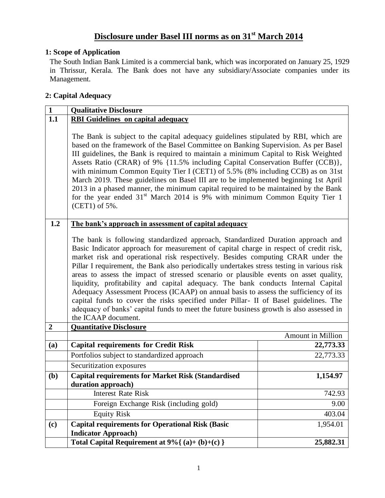# **Disclosure under Basel III norms as on 31st March 2014**

### **1: Scope of Application**

The South Indian Bank Limited is a commercial bank, which was incorporated on January 25, 1929 in Thrissur, Kerala. The Bank does not have any subsidiary/Associate companies under its Management.

### **2: Capital Adequacy**

| $\overline{1}$ | <b>Qualitative Disclosure</b>                                                                                                                                                                                                                                                                                                                                                                                                                                                                                                                                                                                                                                                                                                                                                                                                                                               |                   |
|----------------|-----------------------------------------------------------------------------------------------------------------------------------------------------------------------------------------------------------------------------------------------------------------------------------------------------------------------------------------------------------------------------------------------------------------------------------------------------------------------------------------------------------------------------------------------------------------------------------------------------------------------------------------------------------------------------------------------------------------------------------------------------------------------------------------------------------------------------------------------------------------------------|-------------------|
| 1.1            | <b>RBI Guidelines on capital adequacy</b>                                                                                                                                                                                                                                                                                                                                                                                                                                                                                                                                                                                                                                                                                                                                                                                                                                   |                   |
|                | The Bank is subject to the capital adequacy guidelines stipulated by RBI, which are<br>based on the framework of the Basel Committee on Banking Supervision. As per Basel<br>III guidelines, the Bank is required to maintain a minimum Capital to Risk Weighted<br>Assets Ratio (CRAR) of 9% {11.5% including Capital Conservation Buffer (CCB)},<br>with minimum Common Equity Tier I (CET1) of 5.5% (8% including CCB) as on 31st<br>March 2019. These guidelines on Basel III are to be implemented beginning 1st April<br>2013 in a phased manner, the minimum capital required to be maintained by the Bank<br>for the year ended $31st$ March 2014 is 9% with minimum Common Equity Tier 1<br>(CET1) of 5%.                                                                                                                                                          |                   |
| 1.2            | The bank's approach in assessment of capital adequacy                                                                                                                                                                                                                                                                                                                                                                                                                                                                                                                                                                                                                                                                                                                                                                                                                       |                   |
| $\overline{2}$ | The bank is following standardized approach, Standardized Duration approach and<br>Basic Indicator approach for measurement of capital charge in respect of credit risk,<br>market risk and operational risk respectively. Besides computing CRAR under the<br>Pillar I requirement, the Bank also periodically undertakes stress testing in various risk<br>areas to assess the impact of stressed scenario or plausible events on asset quality,<br>liquidity, profitability and capital adequacy. The bank conducts Internal Capital<br>Adequacy Assessment Process (ICAAP) on annual basis to assess the sufficiency of its<br>capital funds to cover the risks specified under Pillar- II of Basel guidelines. The<br>adequacy of banks' capital funds to meet the future business growth is also assessed in<br>the ICAAP document.<br><b>Quantitative Disclosure</b> |                   |
|                |                                                                                                                                                                                                                                                                                                                                                                                                                                                                                                                                                                                                                                                                                                                                                                                                                                                                             | Amount in Million |
| (a)            | <b>Capital requirements for Credit Risk</b>                                                                                                                                                                                                                                                                                                                                                                                                                                                                                                                                                                                                                                                                                                                                                                                                                                 | 22,773.33         |
|                | Portfolios subject to standardized approach                                                                                                                                                                                                                                                                                                                                                                                                                                                                                                                                                                                                                                                                                                                                                                                                                                 | 22,773.33         |
|                | Securitization exposures                                                                                                                                                                                                                                                                                                                                                                                                                                                                                                                                                                                                                                                                                                                                                                                                                                                    |                   |
| ( <b>b</b> )   | <b>Capital requirements for Market Risk (Standardised</b><br>duration approach)                                                                                                                                                                                                                                                                                                                                                                                                                                                                                                                                                                                                                                                                                                                                                                                             | 1,154.97          |
|                | <b>Interest Rate Risk</b>                                                                                                                                                                                                                                                                                                                                                                                                                                                                                                                                                                                                                                                                                                                                                                                                                                                   | 742.93            |
|                | Foreign Exchange Risk (including gold)                                                                                                                                                                                                                                                                                                                                                                                                                                                                                                                                                                                                                                                                                                                                                                                                                                      | 9.00              |
|                | <b>Equity Risk</b>                                                                                                                                                                                                                                                                                                                                                                                                                                                                                                                                                                                                                                                                                                                                                                                                                                                          | 403.04            |
| (c)            | <b>Capital requirements for Operational Risk (Basic</b><br><b>Indicator Approach)</b>                                                                                                                                                                                                                                                                                                                                                                                                                                                                                                                                                                                                                                                                                                                                                                                       | 1,954.01          |
|                | Total Capital Requirement at $9\%$ { (a)+ (b)+(c) }                                                                                                                                                                                                                                                                                                                                                                                                                                                                                                                                                                                                                                                                                                                                                                                                                         | 25,882.31         |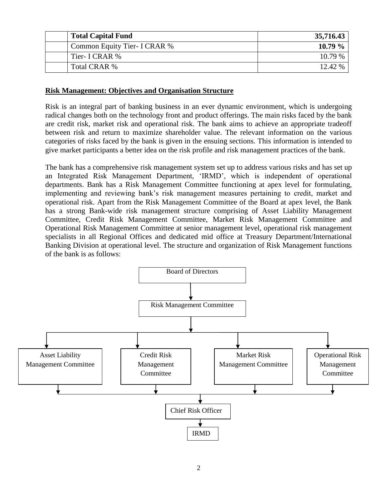| <b>Total Capital Fund</b>           | 35,716.43 |
|-------------------------------------|-----------|
| <b>Common Equity Tier- I CRAR %</b> | $10.79\%$ |
| Tier- I CRAR %                      | 10.79%    |
| Total CRAR %                        | 12.42%    |

#### **Risk Management: Objectives and Organisation Structure**

Risk is an integral part of banking business in an ever dynamic environment, which is undergoing radical changes both on the technology front and product offerings. The main risks faced by the bank are credit risk, market risk and operational risk. The bank aims to achieve an appropriate tradeoff between risk and return to maximize shareholder value. The relevant information on the various categories of risks faced by the bank is given in the ensuing sections. This information is intended to give market participants a better idea on the risk profile and risk management practices of the bank.

The bank has a comprehensive risk management system set up to address various risks and has set up an Integrated Risk Management Department, "IRMD", which is independent of operational departments. Bank has a Risk Management Committee functioning at apex level for formulating, implementing and reviewing bank"s risk management measures pertaining to credit, market and operational risk. Apart from the Risk Management Committee of the Board at apex level, the Bank has a strong Bank-wide risk management structure comprising of Asset Liability Management Committee, Credit Risk Management Committee, Market Risk Management Committee and Operational Risk Management Committee at senior management level, operational risk management specialists in all Regional Offices and dedicated mid office at Treasury Department/International Banking Division at operational level. The structure and organization of Risk Management functions of the bank is as follows:

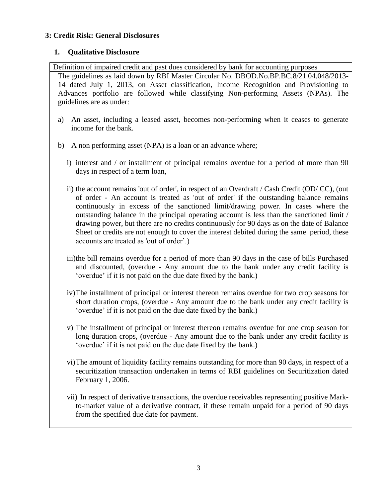### **3: Credit Risk: General Disclosures**

### **1. Qualitative Disclosure**

Definition of impaired credit and past dues considered by bank for accounting purposes

The guidelines as laid down by RBI Master Circular No. DBOD.No.BP.BC.8/21.04.048/2013- 14 dated July 1, 2013, on Asset classification, Income Recognition and Provisioning to Advances portfolio are followed while classifying Non-performing Assets (NPAs). The guidelines are as under:

- a) An asset, including a leased asset, becomes non-performing when it ceases to generate income for the bank.
- b) A non performing asset (NPA) is a loan or an advance where;
	- i) interest and / or installment of principal remains overdue for a period of more than 90 days in respect of a term loan,
	- ii) the account remains 'out of order', in respect of an Overdraft / Cash Credit (OD/ CC), (out of order - An account is treated as 'out of order' if the outstanding balance remains continuously in excess of the sanctioned limit/drawing power. In cases where the outstanding balance in the principal operating account is less than the sanctioned limit / drawing power, but there are no credits continuously for 90 days as on the date of Balance Sheet or credits are not enough to cover the interest debited during the same period, these accounts are treated as 'out of order".)
	- iii)the bill remains overdue for a period of more than 90 days in the case of bills Purchased and discounted, (overdue - Any amount due to the bank under any credit facility is "overdue" if it is not paid on the due date fixed by the bank.)
	- iv)The installment of principal or interest thereon remains overdue for two crop seasons for short duration crops, (overdue - Any amount due to the bank under any credit facility is "overdue" if it is not paid on the due date fixed by the bank.)
	- v) The installment of principal or interest thereon remains overdue for one crop season for long duration crops, (overdue - Any amount due to the bank under any credit facility is "overdue" if it is not paid on the due date fixed by the bank.)
	- vi)The amount of liquidity facility remains outstanding for more than 90 days, in respect of a securitization transaction undertaken in terms of RBI guidelines on Securitization dated February 1, 2006.
	- vii) In respect of derivative transactions, the overdue receivables representing positive Markto-market value of a derivative contract, if these remain unpaid for a period of 90 days from the specified due date for payment.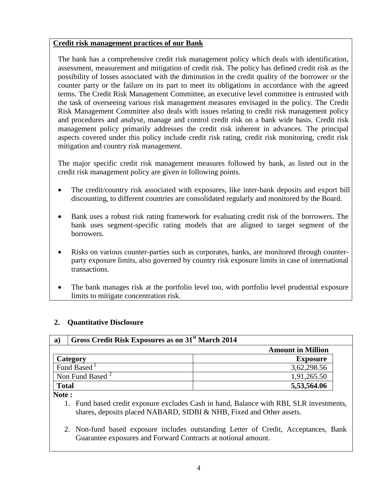### **Credit risk management practices of our Bank**

The bank has a comprehensive credit risk management policy which deals with identification, assessment, measurement and mitigation of credit risk. The policy has defined credit risk as the possibility of losses associated with the diminution in the credit quality of the borrower or the counter party or the failure on its part to meet its obligations in accordance with the agreed terms. The Credit Risk Management Committee, an executive level committee is entrusted with the task of overseeing various risk management measures envisaged in the policy. The Credit Risk Management Committee also deals with issues relating to credit risk management policy and procedures and analyse, manage and control credit risk on a bank wide basis. Credit risk management policy primarily addresses the credit risk inherent in advances. The principal aspects covered under this policy include credit risk rating, credit risk monitoring, credit risk mitigation and country risk management.

The major specific credit risk management measures followed by bank, as listed out in the credit risk management policy are given in following points.

- The credit/country risk associated with exposures, like inter-bank deposits and export bill discounting, to different countries are consolidated regularly and monitored by the Board.
- Bank uses a robust risk rating framework for evaluating credit risk of the borrowers. The bank uses segment-specific rating models that are aligned to target segment of the borrowers.
- Risks on various counter-parties such as corporates, banks, are monitored through counterparty exposure limits, also governed by country risk exposure limits in case of international transactions.
- The bank manages risk at the portfolio level too, with portfolio level prudential exposure limits to mitigate concentration risk.

### **2. Quantitative Disclosure**

| a)    | Gross Credit Risk Exposures as on 31 <sup>st</sup> March 2014 |                          |  |
|-------|---------------------------------------------------------------|--------------------------|--|
|       |                                                               | <b>Amount in Million</b> |  |
|       | <b>Category</b>                                               | <b>Exposure</b>          |  |
|       | Fund Based                                                    | 3,62,298.56              |  |
|       | Non Fund Based $^2$                                           | 1,91,265.50              |  |
| Total |                                                               | 5,53,564.06              |  |

**Note :**

1. Fund based credit exposure excludes Cash in hand, Balance with RBI, SLR investments, shares, deposits placed NABARD, SIDBI & NHB, Fixed and Other assets.

2. Non-fund based exposure includes outstanding Letter of Credit, Acceptances, Bank Guarantee exposures and Forward Contracts at notional amount.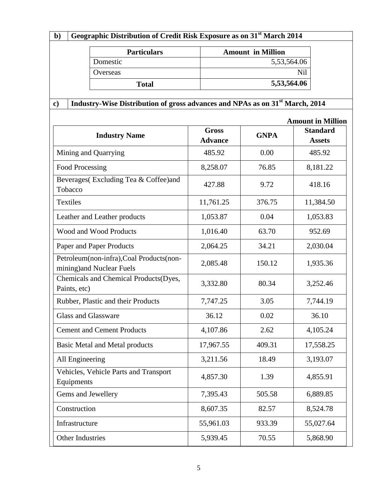| Geographic Distribution of Credit Risk Exposure as on 31 <sup>st</sup> March 2014<br>$\mathbf{b}$ |                                                                                          |                                |                          |                                  |  |
|---------------------------------------------------------------------------------------------------|------------------------------------------------------------------------------------------|--------------------------------|--------------------------|----------------------------------|--|
|                                                                                                   | <b>Particulars</b>                                                                       |                                | <b>Amount in Million</b> |                                  |  |
| Domestic                                                                                          |                                                                                          |                                | 5,53,564.06              |                                  |  |
| Overseas                                                                                          |                                                                                          |                                |                          | Nil                              |  |
|                                                                                                   | <b>Total</b>                                                                             |                                | 5,53,564.06              |                                  |  |
|                                                                                                   | Industry-Wise Distribution of gross advances and NPAs as on 31 <sup>st</sup> March, 2014 |                                |                          |                                  |  |
| $\mathbf{c}$                                                                                      |                                                                                          |                                |                          |                                  |  |
|                                                                                                   |                                                                                          |                                |                          | <b>Amount in Million</b>         |  |
|                                                                                                   | <b>Industry Name</b>                                                                     | <b>Gross</b><br><b>Advance</b> | <b>GNPA</b>              | <b>Standard</b><br><b>Assets</b> |  |
|                                                                                                   | Mining and Quarrying                                                                     | 485.92                         | 0.00                     | 485.92                           |  |
| <b>Food Processing</b>                                                                            |                                                                                          | 8,258.07                       | 76.85                    | 8,181.22                         |  |
| Tobacco                                                                                           | Beverages (Excluding Tea & Coffee)and                                                    | 427.88                         | 9.72                     | 418.16                           |  |
| Textiles                                                                                          |                                                                                          | 11,761.25                      | 376.75                   | 11,384.50                        |  |
| Leather and Leather products                                                                      |                                                                                          | 1,053.87                       | 0.04                     | 1,053.83                         |  |
| Wood and Wood Products                                                                            |                                                                                          | 1,016.40                       | 63.70                    | 952.69                           |  |
|                                                                                                   | Paper and Paper Products                                                                 | 2,064.25                       | 34.21                    | 2,030.04                         |  |
|                                                                                                   | Petroleum(non-infra), Coal Products(non-<br>mining) and Nuclear Fuels                    | 2,085.48                       | 150.12                   | 1,935.36                         |  |
| Paints, etc)                                                                                      | Chemicals and Chemical Products(Dyes,                                                    | 3,332.80                       | 80.34                    | 3,252.46                         |  |
| Rubber, Plastic and their Products                                                                |                                                                                          | 7,747.25                       | 3.05                     | 7,744.19                         |  |
| Glass and Glassware                                                                               |                                                                                          | 36.12                          | 0.02                     | 36.10                            |  |
| <b>Cement and Cement Products</b>                                                                 |                                                                                          | 4,107.86                       | 2.62                     | 4,105.24                         |  |
| <b>Basic Metal and Metal products</b>                                                             |                                                                                          | 17,967.55                      | 409.31                   | 17,558.25                        |  |
| All Engineering                                                                                   |                                                                                          | 3,211.56                       | 18.49                    | 3,193.07                         |  |
| Vehicles, Vehicle Parts and Transport<br>Equipments                                               |                                                                                          | 4,857.30                       | 1.39                     | 4,855.91                         |  |
| Gems and Jewellery                                                                                |                                                                                          | 7,395.43                       | 505.58                   | 6,889.85                         |  |
| Construction                                                                                      |                                                                                          | 8,607.35                       | 82.57                    | 8,524.78                         |  |
| Infrastructure                                                                                    |                                                                                          | 55,961.03                      | 933.39                   | 55,027.64                        |  |
| Other Industries                                                                                  |                                                                                          | 5,939.45                       | 70.55                    | 5,868.90                         |  |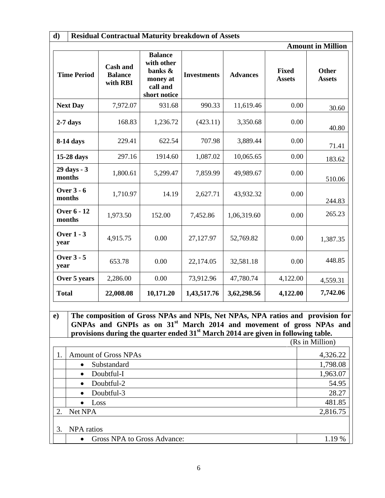| d)<br><b>Residual Contractual Maturity breakdown of Assets</b>                                                                                                                                                                                                                                         |                          |                                               |                                                                                 |                    |                 |                               |                               |
|--------------------------------------------------------------------------------------------------------------------------------------------------------------------------------------------------------------------------------------------------------------------------------------------------------|--------------------------|-----------------------------------------------|---------------------------------------------------------------------------------|--------------------|-----------------|-------------------------------|-------------------------------|
|                                                                                                                                                                                                                                                                                                        |                          |                                               |                                                                                 |                    |                 |                               | <b>Amount in Million</b>      |
|                                                                                                                                                                                                                                                                                                        | <b>Time Period</b>       | <b>Cash and</b><br><b>Balance</b><br>with RBI | <b>Balance</b><br>with other<br>banks &<br>money at<br>call and<br>short notice | <b>Investments</b> | <b>Advances</b> | <b>Fixed</b><br><b>Assets</b> | <b>Other</b><br><b>Assets</b> |
|                                                                                                                                                                                                                                                                                                        | <b>Next Day</b>          | 7,972.07                                      | 931.68                                                                          | 990.33             | 11,619.46       | 0.00                          | 30.60                         |
| $2-7$ days                                                                                                                                                                                                                                                                                             |                          | 168.83                                        | 1,236.72                                                                        | (423.11)           | 3,350.68        | 0.00                          | 40.80                         |
|                                                                                                                                                                                                                                                                                                        | 8-14 days                | 229.41                                        | 622.54                                                                          | 707.98             | 3,889.44        | 0.00                          | 71.41                         |
|                                                                                                                                                                                                                                                                                                        | 15-28 days               | 297.16                                        | 1914.60                                                                         | 1,087.02           | 10,065.65       | 0.00                          | 183.62                        |
| months                                                                                                                                                                                                                                                                                                 | 29 days - 3              | 1,800.61                                      | 5,299.47                                                                        | 7,859.99           | 49,989.67       | 0.00                          | 510.06                        |
| months                                                                                                                                                                                                                                                                                                 | <b>Over 3 - 6</b>        | 1,710.97                                      | 14.19                                                                           | 2,627.71           | 43,932.32       | 0.00                          | 244.83                        |
| months                                                                                                                                                                                                                                                                                                 | <b>Over 6 - 12</b>       | 1,973.50                                      | 152.00                                                                          | 7,452.86           | 1,06,319.60     | 0.00                          | 265.23                        |
| year                                                                                                                                                                                                                                                                                                   | <b>Over 1 - 3</b>        | 4,915.75                                      | 0.00                                                                            | 27,127.97          | 52,769.82       | 0.00                          | 1,387.35                      |
| year                                                                                                                                                                                                                                                                                                   | <b>Over 3 - 5</b>        | 653.78                                        | 0.00                                                                            | 22,174.05          | 32,581.18       | 0.00                          | 448.85                        |
|                                                                                                                                                                                                                                                                                                        | Over 5 years             | 2,286.00                                      | 0.00                                                                            | 73,912.96          | 47,780.74       | 4,122.00                      | 4,559.31                      |
| <b>Total</b><br>22,008.08<br>10,171.20<br>1,43,517.76<br>3,62,298.56<br>4,122.00                                                                                                                                                                                                                       |                          |                                               |                                                                                 | 7,742.06           |                 |                               |                               |
| The composition of Gross NPAs and NPIs, Net NPAs, NPA ratios and provision for<br>$\mathbf{e}$<br>GNPAs and GNPIs as on 31 <sup>st</sup> March 2014 and movement of gross NPAs and<br>provisions during the quarter ended 31 <sup>st</sup> March 2014 are given in following table.<br>(Rs in Million) |                          |                                               |                                                                                 |                    |                 |                               |                               |
| 1.                                                                                                                                                                                                                                                                                                     |                          | <b>Amount of Gross NPAs</b>                   |                                                                                 |                    |                 |                               | 4,326.22                      |
|                                                                                                                                                                                                                                                                                                        | Substandard<br>$\bullet$ |                                               |                                                                                 |                    |                 |                               | 1,798.08                      |
|                                                                                                                                                                                                                                                                                                        | Doubtful-I<br>$\bullet$  |                                               |                                                                                 |                    |                 |                               | 1,963.07                      |
|                                                                                                                                                                                                                                                                                                        | Doubtful-2<br>$\bullet$  |                                               |                                                                                 |                    |                 |                               | 54.95                         |
|                                                                                                                                                                                                                                                                                                        | $\bullet$                | Doubtful-3                                    |                                                                                 |                    |                 |                               | 28.27                         |
| 2.                                                                                                                                                                                                                                                                                                     | $\bullet$<br>Net NPA     | Loss                                          |                                                                                 |                    |                 |                               | 481.85<br>2,816.75            |
|                                                                                                                                                                                                                                                                                                        |                          |                                               |                                                                                 |                    |                 |                               |                               |
| 3.                                                                                                                                                                                                                                                                                                     | NPA ratios<br>$\bullet$  | Gross NPA to Gross Advance:                   |                                                                                 |                    |                 |                               | 1.19 %                        |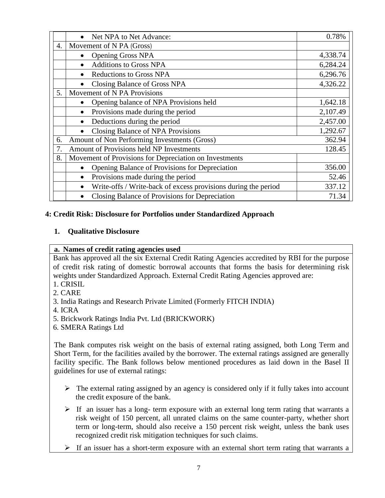|    | Net NPA to Net Advance:                                                     | 0.78%    |
|----|-----------------------------------------------------------------------------|----------|
| 4. | Movement of N PA (Gross)                                                    |          |
|    | <b>Opening Gross NPA</b>                                                    | 4,338.74 |
|    | <b>Additions to Gross NPA</b>                                               | 6,284.24 |
|    | <b>Reductions to Gross NPA</b>                                              | 6,296.76 |
|    | Closing Balance of Gross NPA                                                | 4,326.22 |
| 5. | Movement of N PA Provisions                                                 |          |
|    | Opening balance of NPA Provisions held                                      | 1,642.18 |
|    | Provisions made during the period<br>$\bullet$                              | 2,107.49 |
|    | Deductions during the period                                                | 2,457.00 |
|    | Closing Balance of NPA Provisions<br>$\bullet$                              | 1,292.67 |
| 6. | Amount of Non Performing Investments (Gross)                                | 362.94   |
| 7. | Amount of Provisions held NP Investments                                    | 128.45   |
| 8. | Movement of Provisions for Depreciation on Investments                      |          |
|    | Opening Balance of Provisions for Depreciation<br>$\bullet$                 | 356.00   |
|    | Provisions made during the period<br>$\bullet$                              | 52.46    |
|    | Write-offs / Write-back of excess provisions during the period<br>$\bullet$ | 337.12   |
|    | Closing Balance of Provisions for Depreciation                              | 71.34    |

### **4: Credit Risk: Disclosure for Portfolios under Standardized Approach**

### **1. Qualitative Disclosure**

#### **a. Names of credit rating agencies used**

Bank has approved all the six External Credit Rating Agencies accredited by RBI for the purpose of credit risk rating of domestic borrowal accounts that forms the basis for determining risk weights under Standardized Approach. External Credit Rating Agencies approved are:

- 1. CRISIL
- 2. CARE
- 3. India Ratings and Research Private Limited (Formerly FITCH INDIA)
- 4. ICRA
- 5. Brickwork Ratings India Pvt. Ltd (BRICKWORK)
- 6. SMERA Ratings Ltd

The Bank computes risk weight on the basis of external rating assigned, both Long Term and Short Term, for the facilities availed by the borrower. The external ratings assigned are generally facility specific. The Bank follows below mentioned procedures as laid down in the Basel II guidelines for use of external ratings:

- $\triangleright$  The external rating assigned by an agency is considered only if it fully takes into account the credit exposure of the bank.
- $\triangleright$  If an issuer has a long- term exposure with an external long term rating that warrants a risk weight of 150 percent, all unrated claims on the same counter-party, whether short term or long-term, should also receive a 150 percent risk weight, unless the bank uses recognized credit risk mitigation techniques for such claims.
- $\triangleright$  If an issuer has a short-term exposure with an external short term rating that warrants a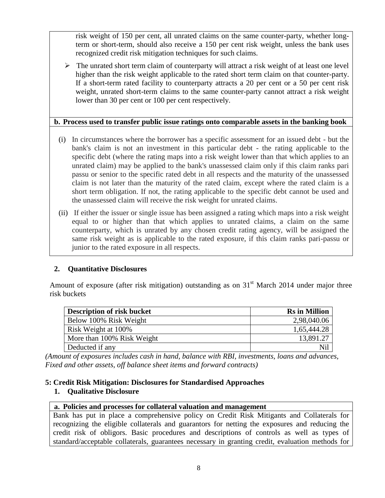risk weight of 150 per cent, all unrated claims on the same counter-party, whether longterm or short-term, should also receive a 150 per cent risk weight, unless the bank uses recognized credit risk mitigation techniques for such claims.

 $\triangleright$  The unrated short term claim of counterparty will attract a risk weight of at least one level higher than the risk weight applicable to the rated short term claim on that counter-party. If a short-term rated facility to counterparty attracts a 20 per cent or a 50 per cent risk weight, unrated short-term claims to the same counter-party cannot attract a risk weight lower than 30 per cent or 100 per cent respectively.

### **b. Process used to transfer public issue ratings onto comparable assets in the banking book**

- (i) In circumstances where the borrower has a specific assessment for an issued debt but the bank's claim is not an investment in this particular debt - the rating applicable to the specific debt (where the rating maps into a risk weight lower than that which applies to an unrated claim) may be applied to the bank's unassessed claim only if this claim ranks pari passu or senior to the specific rated debt in all respects and the maturity of the unassessed claim is not later than the maturity of the rated claim, except where the rated claim is a short term obligation. If not, the rating applicable to the specific debt cannot be used and the unassessed claim will receive the risk weight for unrated claims.
- (ii) If either the issuer or single issue has been assigned a rating which maps into a risk weight equal to or higher than that which applies to unrated claims, a claim on the same counterparty, which is unrated by any chosen credit rating agency, will be assigned the same risk weight as is applicable to the rated exposure, if this claim ranks pari-passu or junior to the rated exposure in all respects.

### **2. Quantitative Disclosures**

Amount of exposure (after risk mitigation) outstanding as on  $31<sup>st</sup>$  March 2014 under major three risk buckets

| <b>Description of risk bucket</b> | <b>Rs</b> in Million |
|-----------------------------------|----------------------|
| Below 100% Risk Weight            | 2,98,040.06          |
| Risk Weight at 100%               | 1,65,444.28          |
| More than 100% Risk Weight        | 13,891.27            |
| Deducted if any                   | Nil                  |

*(Amount of exposures includes cash in hand, balance with RBI, investments, loans and advances, Fixed and other assets, off balance sheet items and forward contracts)*

### **5: Credit Risk Mitigation: Disclosures for Standardised Approaches**

### **1. Qualitative Disclosure**

### **a. Policies and processes for collateral valuation and management**

Bank has put in place a comprehensive policy on Credit Risk Mitigants and Collaterals for recognizing the eligible collaterals and guarantors for netting the exposures and reducing the credit risk of obligors. Basic procedures and descriptions of controls as well as types of standard/acceptable collaterals, guarantees necessary in granting credit, evaluation methods for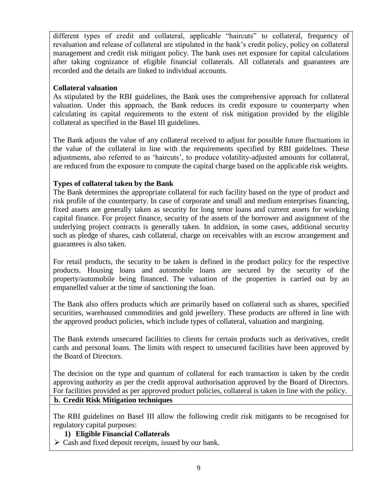different types of credit and collateral, applicable "haircuts" to collateral, frequency of revaluation and release of collateral are stipulated in the bank"s credit policy, policy on collateral management and credit risk mitigant policy. The bank uses net exposure for capital calculations after taking cognizance of eligible financial collaterals. All collaterals and guarantees are recorded and the details are linked to individual accounts.

### **Collateral valuation**

As stipulated by the RBI guidelines, the Bank uses the comprehensive approach for collateral valuation. Under this approach, the Bank reduces its credit exposure to counterparty when calculating its capital requirements to the extent of risk mitigation provided by the eligible collateral as specified in the Basel III guidelines.

The Bank adjusts the value of any collateral received to adjust for possible future fluctuations in the value of the collateral in line with the requirements specified by RBI guidelines. These adjustments, also referred to as "haircuts", to produce volatility-adjusted amounts for collateral, are reduced from the exposure to compute the capital charge based on the applicable risk weights.

### **Types of collateral taken by the Bank**

The Bank determines the appropriate collateral for each facility based on the type of product and risk profile of the counterparty. In case of corporate and small and medium enterprises financing, fixed assets are generally taken as security for long tenor loans and current assets for working capital finance. For project finance, security of the assets of the borrower and assignment of the underlying project contracts is generally taken. In addition, in some cases, additional security such as pledge of shares, cash collateral, charge on receivables with an escrow arrangement and guarantees is also taken.

For retail products, the security to be taken is defined in the product policy for the respective products. Housing loans and automobile loans are secured by the security of the property/automobile being financed. The valuation of the properties is carried out by an empanelled valuer at the time of sanctioning the loan.

The Bank also offers products which are primarily based on collateral such as shares, specified securities, warehoused commodities and gold jewellery. These products are offered in line with the approved product policies, which include types of collateral, valuation and margining.

The Bank extends unsecured facilities to clients for certain products such as derivatives, credit cards and personal loans. The limits with respect to unsecured facilities have been approved by the Board of Directors.

The decision on the type and quantum of collateral for each transaction is taken by the credit approving authority as per the credit approval authorisation approved by the Board of Directors. For facilities provided as per approved product policies, collateral is taken in line with the policy.

### **b. Credit Risk Mitigation techniques**

The RBI guidelines on Basel III allow the following credit risk mitigants to be recognised for regulatory capital purposes:

### **1) Eligible Financial Collaterals**

 $\triangleright$  Cash and fixed deposit receipts, issued by our bank.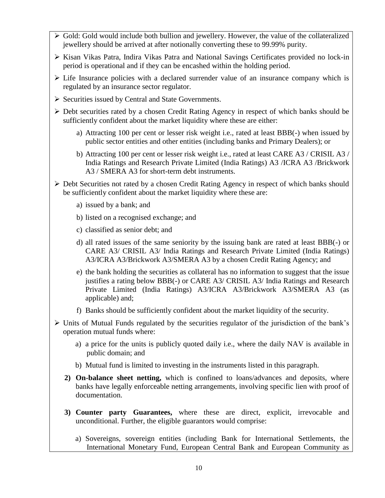- $\triangleright$  Gold: Gold would include both bullion and jewellery. However, the value of the collateralized jewellery should be arrived at after notionally converting these to 99.99% purity.
- $\triangleright$  Kisan Vikas Patra, Indira Vikas Patra and National Savings Certificates provided no lock-in period is operational and if they can be encashed within the holding period.
- $\triangleright$  Life Insurance policies with a declared surrender value of an insurance company which is regulated by an insurance sector regulator.
- $\triangleright$  Securities issued by Central and State Governments.
- $\triangleright$  Debt securities rated by a chosen Credit Rating Agency in respect of which banks should be sufficiently confident about the market liquidity where these are either:
	- a) Attracting 100 per cent or lesser risk weight i.e., rated at least BBB(-) when issued by public sector entities and other entities (including banks and Primary Dealers); or
	- b) Attracting 100 per cent or lesser risk weight i.e., rated at least CARE A3 / CRISIL A3 / India Ratings and Research Private Limited (India Ratings) A3 /ICRA A3 /Brickwork A3 / SMERA A3 for short-term debt instruments.
- Debt Securities not rated by a chosen Credit Rating Agency in respect of which banks should be sufficiently confident about the market liquidity where these are:
	- a) issued by a bank; and
	- b) listed on a recognised exchange; and
	- c) classified as senior debt; and
	- d) all rated issues of the same seniority by the issuing bank are rated at least BBB(-) or CARE A3/ CRISIL A3/ India Ratings and Research Private Limited (India Ratings) A3/ICRA A3/Brickwork A3/SMERA A3 by a chosen Credit Rating Agency; and
	- e) the bank holding the securities as collateral has no information to suggest that the issue justifies a rating below BBB(-) or CARE A3/ CRISIL A3/ India Ratings and Research Private Limited (India Ratings) A3/ICRA A3/Brickwork A3/SMERA A3 (as applicable) and;
	- f) Banks should be sufficiently confident about the market liquidity of the security.
- $\triangleright$  Units of Mutual Funds regulated by the securities regulator of the jurisdiction of the bank's operation mutual funds where:
	- a) a price for the units is publicly quoted daily i.e., where the daily NAV is available in public domain; and
	- b) Mutual fund is limited to investing in the instruments listed in this paragraph.
	- **2) On-balance sheet netting,** which is confined to loans/advances and deposits, where banks have legally enforceable netting arrangements, involving specific lien with proof of documentation.
	- **3) Counter party Guarantees,** where these are direct, explicit, irrevocable and unconditional. Further, the eligible guarantors would comprise:
		- a) Sovereigns, sovereign entities (including Bank for International Settlements, the International Monetary Fund, European Central Bank and European Community as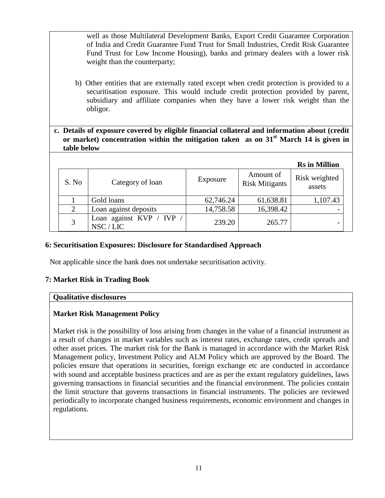well as those Multilateral Development Banks, Export Credit Guarantee Corporation of India and Credit Guarantee Fund Trust for Small Industries, Credit Risk Guarantee Fund Trust for Low Income Housing), banks and primary dealers with a lower risk weight than the counterparty;

- b) Other entities that are externally rated except when credit protection is provided to a securitisation exposure. This would include credit protection provided by parent, subsidiary and affiliate companies when they have a lower risk weight than the obligor.
- **c. Details of exposure covered by eligible financial collateral and information about (credit**  or market) concentration within the mitigation taken as on 31<sup>st</sup> March 14 is given in **table below**

|       |                                     |           |                                    | <b>Rs</b> in Million    |
|-------|-------------------------------------|-----------|------------------------------------|-------------------------|
| S. No | Category of loan                    | Exposure  | Amount of<br><b>Risk Mitigants</b> | Risk weighted<br>assets |
|       | Gold loans                          | 62,746.24 | 61,638.81                          | 1,107.43                |
| 2     | Loan against deposits               | 14,758.58 | 16,398.42                          |                         |
| 3     | Loan against KVP / IVP<br>NSC / LIC | 239.20    | 265.77                             |                         |

### **6: Securitisation Exposures: Disclosure for Standardised Approach**

Not applicable since the bank does not undertake securitisation activity.

### **7: Market Risk in Trading Book**

#### **Qualitative disclosures**

### **Market Risk Management Policy**

Market risk is the possibility of loss arising from changes in the value of a financial instrument as a result of changes in market variables such as interest rates, exchange rates, credit spreads and other asset prices. The market risk for the Bank is managed in accordance with the Market Risk Management policy, Investment Policy and ALM Policy which are approved by the Board. The policies ensure that operations in securities, foreign exchange etc are conducted in accordance with sound and acceptable business practices and are as per the extant regulatory guidelines, laws governing transactions in financial securities and the financial environment. The policies contain the limit structure that governs transactions in financial instruments. The policies are reviewed periodically to incorporate changed business requirements, economic environment and changes in regulations.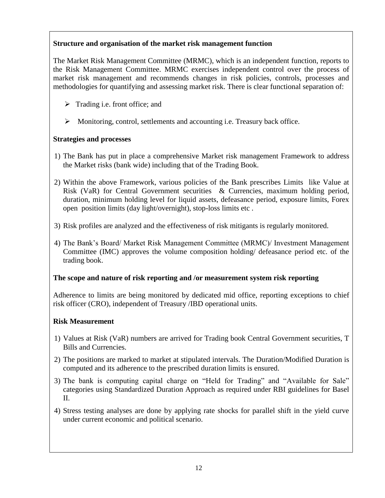### **Structure and organisation of the market risk management function**

The Market Risk Management Committee (MRMC), which is an independent function, reports to the Risk Management Committee. MRMC exercises independent control over the process of market risk management and recommends changes in risk policies, controls, processes and methodologies for quantifying and assessing market risk. There is clear functional separation of:

- $\triangleright$  Trading i.e. front office; and
- Monitoring, control, settlements and accounting i.e. Treasury back office.

### **Strategies and processes**

- 1) The Bank has put in place a comprehensive Market risk management Framework to address the Market risks (bank wide) including that of the Trading Book.
- 2) Within the above Framework, various policies of the Bank prescribes Limits like Value at Risk (VaR) for Central Government securities & Currencies, maximum holding period, duration, minimum holding level for liquid assets, defeasance period, exposure limits, Forex open position limits (day light/overnight), stop-loss limits etc .
- 3) Risk profiles are analyzed and the effectiveness of risk mitigants is regularly monitored.
- 4) The Bank"s Board/ Market Risk Management Committee (MRMC)/ Investment Management Committee (IMC) approves the volume composition holding/ defeasance period etc. of the trading book.

### **The scope and nature of risk reporting and /or measurement system risk reporting**

Adherence to limits are being monitored by dedicated mid office, reporting exceptions to chief risk officer (CRO), independent of Treasury /IBD operational units.

### **Risk Measurement**

- 1) Values at Risk (VaR) numbers are arrived for Trading book Central Government securities, T Bills and Currencies.
- 2) The positions are marked to market at stipulated intervals. The Duration/Modified Duration is computed and its adherence to the prescribed duration limits is ensured.
- 3) The bank is computing capital charge on "Held for Trading" and "Available for Sale" categories using Standardized Duration Approach as required under RBI guidelines for Basel II.
- 4) Stress testing analyses are done by applying rate shocks for parallel shift in the yield curve under current economic and political scenario.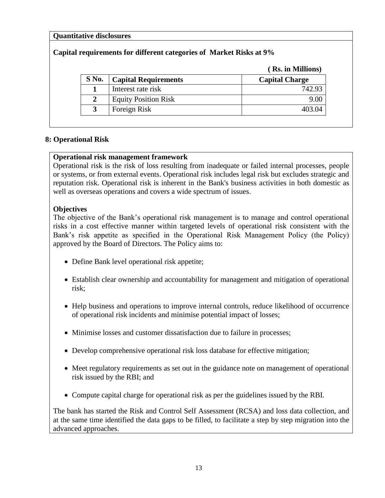### **Quantitative disclosures**

### **Capital requirements for different categories of Market Risks at 9%**

|  |  |  |  | (Rs. in Millions) |
|--|--|--|--|-------------------|
|--|--|--|--|-------------------|

|         |                             | $-0.07$ $-0.007$ $-0.007$ $-0.007$ |
|---------|-----------------------------|------------------------------------|
| $S$ No. | <b>Capital Requirements</b> | <b>Capital Charge</b>              |
|         | Interest rate risk          | 742.93                             |
|         | <b>Equity Position Risk</b> | 9.00                               |
|         | Foreign Risk                | 403.04                             |
|         |                             |                                    |

#### **8: Operational Risk**

#### **Operational risk management framework**

Operational risk is the risk of loss resulting from inadequate or failed internal processes, people or systems, or from external events. Operational risk includes legal risk but excludes strategic and reputation risk. Operational risk is inherent in the Bank's business activities in both domestic as well as overseas operations and covers a wide spectrum of issues.

### **Objectives**

The objective of the Bank's operational risk management is to manage and control operational risks in a cost effective manner within targeted levels of operational risk consistent with the Bank's risk appetite as specified in the Operational Risk Management Policy (the Policy) approved by the Board of Directors. The Policy aims to:

- Define Bank level operational risk appetite;
- Establish clear ownership and accountability for management and mitigation of operational risk;
- Help business and operations to improve internal controls, reduce likelihood of occurrence of operational risk incidents and minimise potential impact of losses;
- Minimise losses and customer dissatisfaction due to failure in processes;
- Develop comprehensive operational risk loss database for effective mitigation;
- Meet regulatory requirements as set out in the guidance note on management of operational risk issued by the RBI; and
- Compute capital charge for operational risk as per the guidelines issued by the RBI.

The bank has started the Risk and Control Self Assessment (RCSA) and loss data collection, and at the same time identified the data gaps to be filled, to facilitate a step by step migration into the advanced approaches.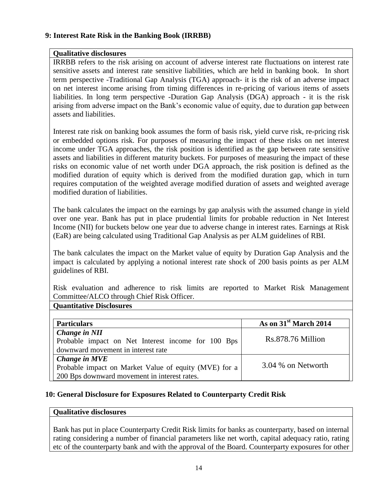#### **9: Interest Rate Risk in the Banking Book (IRRBB)**

### **Qualitative disclosures**

IRRBB refers to the risk arising on account of adverse interest rate fluctuations on interest rate sensitive assets and interest rate sensitive liabilities, which are held in banking book. In short term perspective -Traditional Gap Analysis (TGA) approach- it is the risk of an adverse impact on net interest income arising from timing differences in re-pricing of various items of assets liabilities. In long term perspective -Duration Gap Analysis (DGA) approach - it is the risk arising from adverse impact on the Bank"s economic value of equity, due to duration gap between assets and liabilities.

Interest rate risk on banking book assumes the form of basis risk, yield curve risk, re-pricing risk or embedded options risk. For purposes of measuring the impact of these risks on net interest income under TGA approaches, the risk position is identified as the gap between rate sensitive assets and liabilities in different maturity buckets. For purposes of measuring the impact of these risks on economic value of net worth under DGA approach, the risk position is defined as the modified duration of equity which is derived from the modified duration gap, which in turn requires computation of the weighted average modified duration of assets and weighted average modified duration of liabilities.

The bank calculates the impact on the earnings by gap analysis with the assumed change in yield over one year. Bank has put in place prudential limits for probable reduction in Net Interest Income (NII) for buckets below one year due to adverse change in interest rates. Earnings at Risk (EaR) are being calculated using Traditional Gap Analysis as per ALM guidelines of RBI.

The bank calculates the impact on the Market value of equity by Duration Gap Analysis and the impact is calculated by applying a notional interest rate shock of 200 basis points as per ALM guidelines of RBI.

Risk evaluation and adherence to risk limits are reported to Market Risk Management Committee/ALCO through Chief Risk Officer.

### **Quantitative Disclosures**

| <b>Particulars</b>                                    | As on 31 <sup>st</sup> March 2014 |
|-------------------------------------------------------|-----------------------------------|
| Change in NII                                         |                                   |
| Probable impact on Net Interest income for 100 Bps    | Rs.878.76 Million                 |
| downward movement in interest rate                    |                                   |
| Change in MVE                                         |                                   |
| Probable impact on Market Value of equity (MVE) for a | 3.04 % on Networth                |
| 200 Bps downward movement in interest rates.          |                                   |

### **10: General Disclosure for Exposures Related to Counterparty Credit Risk**

#### **Qualitative disclosures**

Bank has put in place Counterparty Credit Risk limits for banks as counterparty, based on internal rating considering a number of financial parameters like net worth, capital adequacy ratio, rating etc of the counterparty bank and with the approval of the Board. Counterparty exposures for other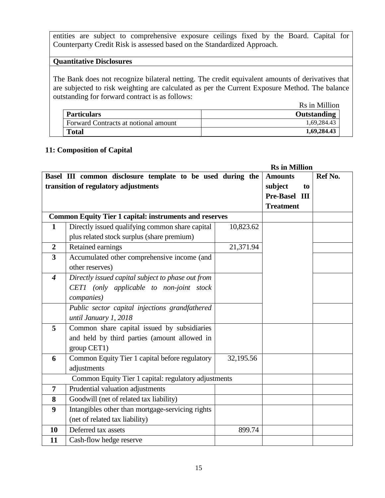entities are subject to comprehensive exposure ceilings fixed by the Board. Capital for Counterparty Credit Risk is assessed based on the Standardized Approach.

### **Quantitative Disclosures**

The Bank does not recognize bilateral netting. The credit equivalent amounts of derivatives that are subjected to risk weighting are calculated as per the Current Exposure Method. The balance outstanding for forward contract is as follows:

Rs in Million

| <b>Particulars</b>                   | Outstanding |
|--------------------------------------|-------------|
| Forward Contracts at notional amount | 1,69,284.43 |
| <b>Total</b>                         | 1,69,284.43 |

### **11: Composition of Capital**

|                         | <b>Rs</b> in Million                                          |           |                  |         |
|-------------------------|---------------------------------------------------------------|-----------|------------------|---------|
|                         | Basel III common disclosure template to be used during the    |           | <b>Amounts</b>   | Ref No. |
|                         | transition of regulatory adjustments                          |           | subject<br>to    |         |
|                         |                                                               |           | Pre-Basel III    |         |
|                         |                                                               |           | <b>Treatment</b> |         |
|                         | <b>Common Equity Tier 1 capital: instruments and reserves</b> |           |                  |         |
| $\mathbf{1}$            | Directly issued qualifying common share capital               | 10,823.62 |                  |         |
|                         | plus related stock surplus (share premium)                    |           |                  |         |
| $\boldsymbol{2}$        | Retained earnings                                             | 21,371.94 |                  |         |
| $\overline{\mathbf{3}}$ | Accumulated other comprehensive income (and                   |           |                  |         |
|                         | other reserves)                                               |           |                  |         |
| $\boldsymbol{4}$        | Directly issued capital subject to phase out from             |           |                  |         |
|                         | CET1 (only applicable to non-joint stock                      |           |                  |         |
|                         | companies)                                                    |           |                  |         |
|                         | Public sector capital injections grandfathered                |           |                  |         |
|                         | until January 1, 2018                                         |           |                  |         |
| 5                       | Common share capital issued by subsidiaries                   |           |                  |         |
|                         | and held by third parties (amount allowed in                  |           |                  |         |
|                         | group CET1)                                                   |           |                  |         |
| 6                       | Common Equity Tier 1 capital before regulatory                | 32,195.56 |                  |         |
|                         | adjustments                                                   |           |                  |         |
|                         | Common Equity Tier 1 capital: regulatory adjustments          |           |                  |         |
| $\overline{7}$          | Prudential valuation adjustments                              |           |                  |         |
| 8                       | Goodwill (net of related tax liability)                       |           |                  |         |
| 9                       | Intangibles other than mortgage-servicing rights              |           |                  |         |
|                         | (net of related tax liability)                                |           |                  |         |
| 10                      | Deferred tax assets                                           | 899.74    |                  |         |
| 11                      | Cash-flow hedge reserve                                       |           |                  |         |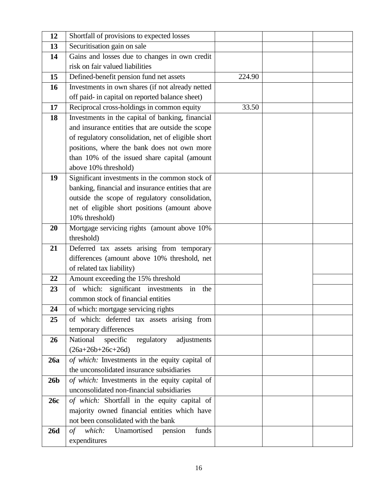| 12              | Shortfall of provisions to expected losses                                              |        |  |
|-----------------|-----------------------------------------------------------------------------------------|--------|--|
| 13              | Securitisation gain on sale                                                             |        |  |
| 14              | Gains and losses due to changes in own credit                                           |        |  |
|                 | risk on fair valued liabilities                                                         |        |  |
| 15              | Defined-benefit pension fund net assets                                                 | 224.90 |  |
| 16              | Investments in own shares (if not already netted                                        |        |  |
|                 | off paid- in capital on reported balance sheet)                                         |        |  |
| 17              | Reciprocal cross-holdings in common equity                                              | 33.50  |  |
| 18              | Investments in the capital of banking, financial                                        |        |  |
|                 | and insurance entities that are outside the scope                                       |        |  |
|                 | of regulatory consolidation, net of eligible short                                      |        |  |
|                 | positions, where the bank does not own more                                             |        |  |
|                 | than 10% of the issued share capital (amount                                            |        |  |
|                 | above 10% threshold)                                                                    |        |  |
| 19              | Significant investments in the common stock of                                          |        |  |
|                 | banking, financial and insurance entities that are                                      |        |  |
|                 | outside the scope of regulatory consolidation,                                          |        |  |
|                 | net of eligible short positions (amount above                                           |        |  |
|                 | 10% threshold)                                                                          |        |  |
| 20              | Mortgage servicing rights (amount above 10%                                             |        |  |
|                 | threshold)                                                                              |        |  |
| 21              | Deferred tax assets arising from temporary                                              |        |  |
|                 | differences (amount above 10% threshold, net                                            |        |  |
| 22              | of related tax liability)                                                               |        |  |
| 23              | Amount exceeding the 15% threshold<br>significant investments<br>of which:<br>in<br>the |        |  |
|                 | common stock of financial entities                                                      |        |  |
| 24              | of which: mortgage servicing rights                                                     |        |  |
| 25              | of which: deferred tax assets arising from                                              |        |  |
|                 | temporary differences                                                                   |        |  |
| 26              | National<br>specific<br>regulatory adjustments                                          |        |  |
|                 | $(26a+26b+26c+26d)$                                                                     |        |  |
| 26a             | of which: Investments in the equity capital of                                          |        |  |
|                 | the unconsolidated insurance subsidiaries                                               |        |  |
| 26 <sub>b</sub> | of which: Investments in the equity capital of                                          |        |  |
|                 | unconsolidated non-financial subsidiaries                                               |        |  |
| 26c             | of which: Shortfall in the equity capital of                                            |        |  |
|                 | majority owned financial entities which have                                            |        |  |
|                 | not been consolidated with the bank                                                     |        |  |
| <b>26d</b>      | Unamortised pension<br>funds<br>of which:                                               |        |  |
|                 | expenditures                                                                            |        |  |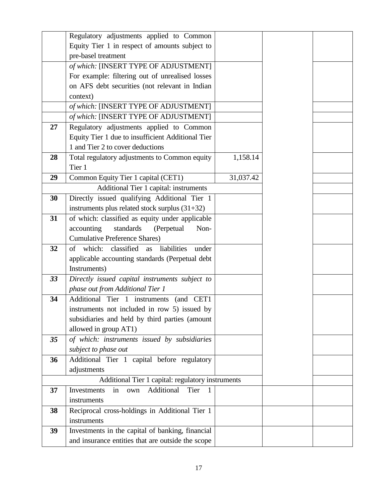|    | Regulatory adjustments applied to Common              |           |  |
|----|-------------------------------------------------------|-----------|--|
|    | Equity Tier 1 in respect of amounts subject to        |           |  |
|    | pre-basel treatment                                   |           |  |
|    | of which: [INSERT TYPE OF ADJUSTMENT]                 |           |  |
|    | For example: filtering out of unrealised losses       |           |  |
|    | on AFS debt securities (not relevant in Indian        |           |  |
|    | context)                                              |           |  |
|    | of which: [INSERT TYPE OF ADJUSTMENT]                 |           |  |
|    | of which: [INSERT TYPE OF ADJUSTMENT]                 |           |  |
| 27 | Regulatory adjustments applied to Common              |           |  |
|    | Equity Tier 1 due to insufficient Additional Tier     |           |  |
|    | 1 and Tier 2 to cover deductions                      |           |  |
| 28 | Total regulatory adjustments to Common equity         | 1,158.14  |  |
|    | Tier 1                                                |           |  |
| 29 | Common Equity Tier 1 capital (CET1)                   | 31,037.42 |  |
|    | Additional Tier 1 capital: instruments                |           |  |
| 30 | Directly issued qualifying Additional Tier 1          |           |  |
|    | instruments plus related stock surplus $(31+32)$      |           |  |
| 31 | of which: classified as equity under applicable       |           |  |
|    | standards<br>accounting<br>(Perpetual<br>Non-         |           |  |
|    | <b>Cumulative Preference Shares)</b>                  |           |  |
| 32 | classified<br>of which:<br>liabilities<br>as<br>under |           |  |
|    | applicable accounting standards (Perpetual debt       |           |  |
|    | Instruments)                                          |           |  |
| 33 | Directly issued capital instruments subject to        |           |  |
|    | phase out from Additional Tier 1                      |           |  |
| 34 | Additional Tier 1 instruments<br>(and CET1            |           |  |
|    | instruments not included in row 5) issued by          |           |  |
|    | subsidiaries and held by third parties (amount        |           |  |
|    | allowed in group AT1)                                 |           |  |
| 35 | of which: instruments issued by subsidiaries          |           |  |
|    | subject to phase out                                  |           |  |
| 36 | Additional Tier 1 capital before regulatory           |           |  |
|    | adjustments                                           |           |  |
|    | Additional Tier 1 capital: regulatory instruments     |           |  |
| 37 | Additional<br>Tier<br>Investments<br>in<br>own<br>1   |           |  |
|    | instruments                                           |           |  |
| 38 | Reciprocal cross-holdings in Additional Tier 1        |           |  |
|    | instruments                                           |           |  |
| 39 | Investments in the capital of banking, financial      |           |  |
|    | and insurance entities that are outside the scope     |           |  |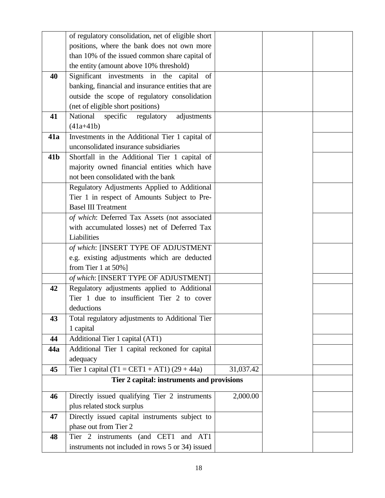|                 | of regulatory consolidation, net of eligible short |           |  |
|-----------------|----------------------------------------------------|-----------|--|
|                 | positions, where the bank does not own more        |           |  |
|                 | than 10% of the issued common share capital of     |           |  |
|                 | the entity (amount above 10% threshold)            |           |  |
| 40              | Significant investments in the capital<br>of       |           |  |
|                 | banking, financial and insurance entities that are |           |  |
|                 | outside the scope of regulatory consolidation      |           |  |
|                 | (net of eligible short positions)                  |           |  |
| 41              | National<br>specific regulatory<br>adjustments     |           |  |
|                 | $(41a+41b)$                                        |           |  |
| 41a             | Investments in the Additional Tier 1 capital of    |           |  |
|                 | unconsolidated insurance subsidiaries              |           |  |
| 41 <sub>b</sub> | Shortfall in the Additional Tier 1 capital of      |           |  |
|                 | majority owned financial entities which have       |           |  |
|                 | not been consolidated with the bank                |           |  |
|                 | Regulatory Adjustments Applied to Additional       |           |  |
|                 | Tier 1 in respect of Amounts Subject to Pre-       |           |  |
|                 | <b>Basel III Treatment</b>                         |           |  |
|                 | of which: Deferred Tax Assets (not associated      |           |  |
|                 | with accumulated losses) net of Deferred Tax       |           |  |
|                 | Liabilities                                        |           |  |
|                 | of which: [INSERT TYPE OF ADJUSTMENT               |           |  |
|                 | e.g. existing adjustments which are deducted       |           |  |
|                 | from Tier 1 at $50\%$ ]                            |           |  |
|                 | of which: [INSERT TYPE OF ADJUSTMENT]              |           |  |
| 42              | Regulatory adjustments applied to Additional       |           |  |
|                 | Tier 1 due to insufficient Tier 2 to cover         |           |  |
|                 | deductions                                         |           |  |
| 43              | Total regulatory adjustments to Additional Tier    |           |  |
|                 | 1 capital                                          |           |  |
| 44              | Additional Tier 1 capital (AT1)                    |           |  |
| 44a             | Additional Tier 1 capital reckoned for capital     |           |  |
|                 | adequacy                                           |           |  |
| 45              | Tier 1 capital $(T1 = CET1 + AT1) (29 + 44a)$      | 31,037.42 |  |
|                 | Tier 2 capital: instruments and provisions         |           |  |
| 46              | Directly issued qualifying Tier 2 instruments      | 2,000.00  |  |
|                 | plus related stock surplus                         |           |  |
| 47              | Directly issued capital instruments subject to     |           |  |
|                 | phase out from Tier 2                              |           |  |
| 48              | Tier 2 instruments (and CET1 and AT1               |           |  |
|                 | instruments not included in rows 5 or 34) issued   |           |  |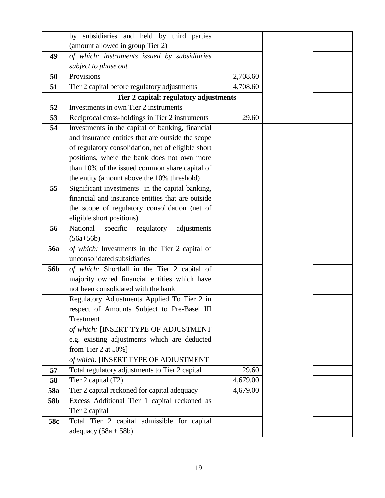|                 | by subsidiaries and held by third parties          |          |  |
|-----------------|----------------------------------------------------|----------|--|
|                 | (amount allowed in group Tier 2)                   |          |  |
| 49              | of which: instruments issued by subsidiaries       |          |  |
|                 | subject to phase out                               |          |  |
| 50              | Provisions                                         | 2,708.60 |  |
| 51              | Tier 2 capital before regulatory adjustments       | 4,708.60 |  |
|                 | Tier 2 capital: regulatory adjustments             |          |  |
| 52              | Investments in own Tier 2 instruments              |          |  |
| 53              | Reciprocal cross-holdings in Tier 2 instruments    | 29.60    |  |
| 54              | Investments in the capital of banking, financial   |          |  |
|                 | and insurance entities that are outside the scope  |          |  |
|                 | of regulatory consolidation, net of eligible short |          |  |
|                 | positions, where the bank does not own more        |          |  |
|                 | than 10% of the issued common share capital of     |          |  |
|                 | the entity (amount above the 10% threshold)        |          |  |
| 55              | Significant investments in the capital banking,    |          |  |
|                 | financial and insurance entities that are outside  |          |  |
|                 | the scope of regulatory consolidation (net of      |          |  |
|                 | eligible short positions)                          |          |  |
| 56              | National<br>specific<br>regulatory<br>adjustments  |          |  |
|                 | $(56a+56b)$                                        |          |  |
| <b>56a</b>      | of which: Investments in the Tier 2 capital of     |          |  |
|                 | unconsolidated subsidiaries                        |          |  |
| 56 <sub>b</sub> | of which: Shortfall in the Tier 2 capital of       |          |  |
|                 | majority owned financial entities which have       |          |  |
|                 | not been consolidated with the bank                |          |  |
|                 | Regulatory Adjustments Applied To Tier 2 in        |          |  |
|                 | respect of Amounts Subject to Pre-Basel III        |          |  |
|                 | Treatment                                          |          |  |
|                 | of which: [INSERT TYPE OF ADJUSTMENT               |          |  |
|                 | e.g. existing adjustments which are deducted       |          |  |
|                 | from Tier 2 at 50%]                                |          |  |
|                 | of which: [INSERT TYPE OF ADJUSTMENT               |          |  |
| 57              | Total regulatory adjustments to Tier 2 capital     | 29.60    |  |
| 58              | Tier 2 capital (T2)                                | 4,679.00 |  |
| 58a             | Tier 2 capital reckoned for capital adequacy       | 4,679.00 |  |
| 58b             | Excess Additional Tier 1 capital reckoned as       |          |  |
|                 | Tier 2 capital                                     |          |  |
| 58c             | Total Tier 2 capital admissible for capital        |          |  |
|                 | adequacy $(58a + 58b)$                             |          |  |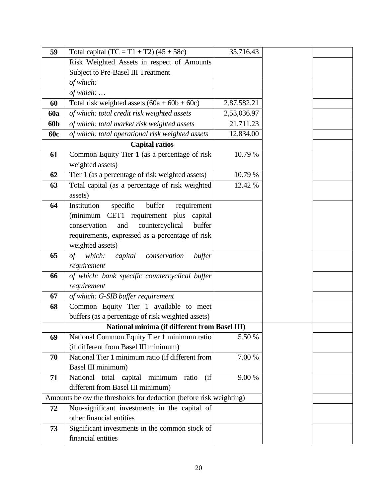| 59         | Total capital $(TC = T1 + T2) (45 + 58c)$                          | 35,716.43   |  |
|------------|--------------------------------------------------------------------|-------------|--|
|            | Risk Weighted Assets in respect of Amounts                         |             |  |
|            | Subject to Pre-Basel III Treatment                                 |             |  |
|            | of which:                                                          |             |  |
|            | of which:                                                          |             |  |
| 60         | Total risk weighted assets $(60a + 60b + 60c)$                     | 2,87,582.21 |  |
| <b>60a</b> | of which: total credit risk weighted assets                        | 2,53,036.97 |  |
| 60b        | of which: total market risk weighted assets                        | 21,711.23   |  |
| <b>60c</b> | of which: total operational risk weighted assets                   | 12,834.00   |  |
|            | <b>Capital ratios</b>                                              |             |  |
| 61         | Common Equity Tier 1 (as a percentage of risk                      | 10.79 %     |  |
|            | weighted assets)                                                   |             |  |
| 62         | Tier 1 (as a percentage of risk weighted assets)                   | 10.79 %     |  |
| 63         | Total capital (as a percentage of risk weighted                    | 12.42 %     |  |
|            | assets)                                                            |             |  |
| 64         | buffer<br>specific<br>requirement<br>Institution                   |             |  |
|            | (minimum CET1 requirement plus<br>capital                          |             |  |
|            | buffer<br>conservation<br>countercyclical<br>and                   |             |  |
|            | requirements, expressed as a percentage of risk                    |             |  |
|            | weighted assets)                                                   |             |  |
| 65         | capital conservation<br>which:<br>of<br>buffer                     |             |  |
|            | requirement                                                        |             |  |
| 66         | of which: bank specific countercyclical buffer                     |             |  |
|            | requirement                                                        |             |  |
| 67         | of which: G-SIB buffer requirement                                 |             |  |
| 68         | Common Equity Tier 1 available to meet                             |             |  |
|            | buffers (as a percentage of risk weighted assets)                  |             |  |
|            | National minima (if different from Basel III)                      |             |  |
| 69         | National Common Equity Tier 1 minimum ratio                        | 5.50 %      |  |
|            | (if different from Basel III minimum)                              |             |  |
| 70         | National Tier 1 minimum ratio (if different from                   | 7.00 %      |  |
|            | Basel III minimum)                                                 |             |  |
| 71         | National total capital<br>minimum<br>(ii)<br>ratio                 | 9.00 %      |  |
|            | different from Basel III minimum)                                  |             |  |
|            | Amounts below the thresholds for deduction (before risk weighting) |             |  |
| 72         | Non-significant investments in the capital of                      |             |  |
|            | other financial entities                                           |             |  |
| 73         | Significant investments in the common stock of                     |             |  |
|            | financial entities                                                 |             |  |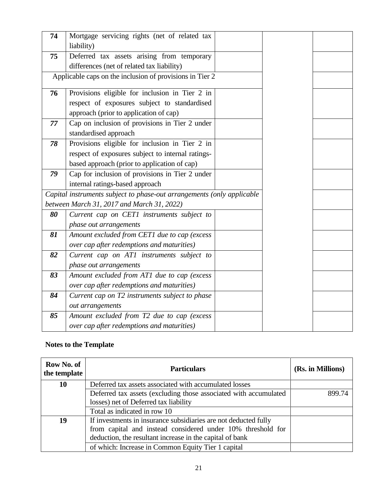| 74 | Mortgage servicing rights (net of related tax<br>liability)            |  |  |
|----|------------------------------------------------------------------------|--|--|
| 75 | Deferred tax assets arising from temporary                             |  |  |
|    | differences (net of related tax liability)                             |  |  |
|    | Applicable caps on the inclusion of provisions in Tier 2               |  |  |
| 76 | Provisions eligible for inclusion in Tier 2 in                         |  |  |
|    | respect of exposures subject to standardised                           |  |  |
|    | approach (prior to application of cap)                                 |  |  |
| 77 | Cap on inclusion of provisions in Tier 2 under                         |  |  |
|    | standardised approach                                                  |  |  |
| 78 | Provisions eligible for inclusion in Tier 2 in                         |  |  |
|    | respect of exposures subject to internal ratings-                      |  |  |
|    | based approach (prior to application of cap)                           |  |  |
| 79 | Cap for inclusion of provisions in Tier 2 under                        |  |  |
|    | internal ratings-based approach                                        |  |  |
|    | Capital instruments subject to phase-out arrangements (only applicable |  |  |
|    | between March 31, 2017 and March 31, 2022)                             |  |  |
| 80 | Current cap on CET1 instruments subject to                             |  |  |
|    | phase out arrangements                                                 |  |  |
| 81 | Amount excluded from CET1 due to cap (excess                           |  |  |
|    | over cap after redemptions and maturities)                             |  |  |
| 82 | Current cap on AT1 instruments subject to                              |  |  |
|    | phase out arrangements                                                 |  |  |
| 83 | Amount excluded from AT1 due to cap (excess                            |  |  |
|    | over cap after redemptions and maturities)                             |  |  |
| 84 | Current cap on T2 instruments subject to phase                         |  |  |
|    | out arrangements                                                       |  |  |
| 85 | Amount excluded from T2 due to cap (excess                             |  |  |
|    | over cap after redemptions and maturities)                             |  |  |

## **Notes to the Template**

| Row No. of<br>the template | <b>Particulars</b>                                               | (Rs. in Millions) |
|----------------------------|------------------------------------------------------------------|-------------------|
| 10                         | Deferred tax assets associated with accumulated losses           |                   |
|                            | Deferred tax assets (excluding those associated with accumulated | 899.74            |
|                            | losses) net of Deferred tax liability                            |                   |
|                            | Total as indicated in row 10                                     |                   |
| 19                         | If investments in insurance subsidiaries are not deducted fully  |                   |
|                            | from capital and instead considered under 10% threshold for      |                   |
|                            | deduction, the resultant increase in the capital of bank         |                   |
|                            | of which: Increase in Common Equity Tier 1 capital               |                   |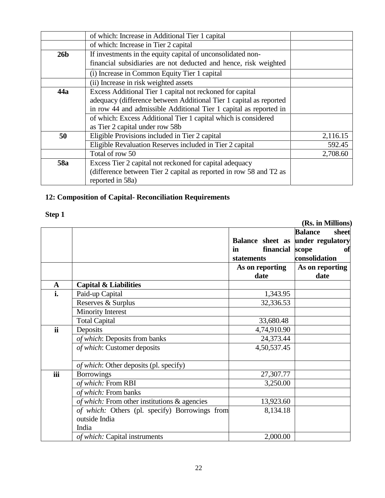|                 | of which: Increase in Additional Tier 1 capital                                                                                 |          |  |  |  |  |  |
|-----------------|---------------------------------------------------------------------------------------------------------------------------------|----------|--|--|--|--|--|
|                 | of which: Increase in Tier 2 capital                                                                                            |          |  |  |  |  |  |
| 26 <sub>b</sub> | If investments in the equity capital of unconsolidated non-<br>financial subsidiaries are not deducted and hence, risk weighted |          |  |  |  |  |  |
|                 | (i) Increase in Common Equity Tier 1 capital                                                                                    |          |  |  |  |  |  |
|                 | (ii) Increase in risk weighted assets                                                                                           |          |  |  |  |  |  |
| 44a             | Excess Additional Tier 1 capital not reckoned for capital                                                                       |          |  |  |  |  |  |
|                 | adequacy (difference between Additional Tier 1 capital as reported                                                              |          |  |  |  |  |  |
|                 | in row 44 and admissible Additional Tier 1 capital as reported in                                                               |          |  |  |  |  |  |
|                 | of which: Excess Additional Tier 1 capital which is considered                                                                  |          |  |  |  |  |  |
|                 | as Tier 2 capital under row 58b                                                                                                 |          |  |  |  |  |  |
| 50              | Eligible Provisions included in Tier 2 capital                                                                                  | 2,116.15 |  |  |  |  |  |
|                 | Eligible Revaluation Reserves included in Tier 2 capital                                                                        | 592.45   |  |  |  |  |  |
|                 | Total of row 50                                                                                                                 | 2,708.60 |  |  |  |  |  |
| 58a             | Excess Tier 2 capital not reckoned for capital adequacy                                                                         |          |  |  |  |  |  |
|                 | (difference between Tier 2 capital as reported in row 58 and T2 as<br>reported in 58a)                                          |          |  |  |  |  |  |

## **12: Composition of Capital- Reconciliation Requirements**

## **Step 1**

**(Rs. in Millions)**

|              |                                                | Balance sheet as under regulatory    | <b>Balance</b><br>sheet      |
|--------------|------------------------------------------------|--------------------------------------|------------------------------|
|              |                                                | financial<br>in<br><b>statements</b> | scope<br>of<br>consolidation |
|              |                                                | As on reporting                      | As on reporting              |
|              |                                                | date                                 | date                         |
| $\mathbf{A}$ | <b>Capital &amp; Liabilities</b>               |                                      |                              |
| i.           | Paid-up Capital                                | 1,343.95                             |                              |
|              | Reserves & Surplus                             | 32,336.53                            |                              |
|              | <b>Minority Interest</b>                       |                                      |                              |
|              | <b>Total Capital</b>                           | 33,680.48                            |                              |
| <b>ii</b>    | Deposits                                       | 4,74,910.90                          |                              |
|              | of which: Deposits from banks                  | 24,373.44                            |                              |
|              | of which: Customer deposits                    | 4,50,537.45                          |                              |
|              | <i>of which</i> : Other deposits (pl. specify) |                                      |                              |
| iii          | <b>Borrowings</b>                              | 27,307.77                            |                              |
|              | of which: From RBI                             | 3,250.00                             |                              |
|              | of which: From banks                           |                                      |                              |
|              | of which: From other institutions & agencies   | 13,923.60                            |                              |
|              | of which: Others (pl. specify) Borrowings from | 8,134.18                             |                              |
|              | outside India                                  |                                      |                              |
|              | India                                          |                                      |                              |
|              | of which: Capital instruments                  | 2,000.00                             |                              |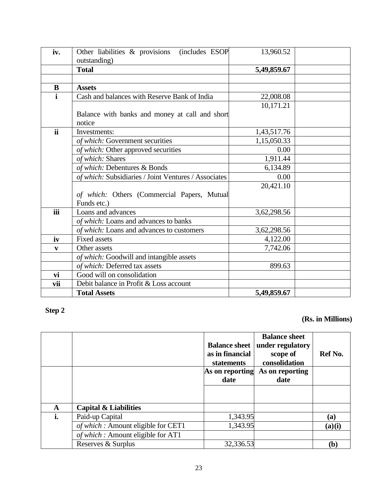| iv.          | Other liabilities & provisions<br>(includes ESOP     | 13,960.52   |  |
|--------------|------------------------------------------------------|-------------|--|
|              | outstanding)                                         |             |  |
|              | <b>Total</b>                                         | 5,49,859.67 |  |
|              |                                                      |             |  |
| $\bf{B}$     | <b>Assets</b>                                        |             |  |
| $\mathbf{i}$ | Cash and balances with Reserve Bank of India         | 22,008.08   |  |
|              |                                                      | 10,171.21   |  |
|              | Balance with banks and money at call and short       |             |  |
|              | notice                                               |             |  |
| ii           | Investments:                                         | 1,43,517.76 |  |
|              | of which: Government securities                      | 1,15,050.33 |  |
|              | of which: Other approved securities                  | 0.00        |  |
|              | of which: Shares                                     | 1,911.44    |  |
|              | of which: Debentures & Bonds                         | 6,134.89    |  |
|              | of which: Subsidiaries / Joint Ventures / Associates | 0.00        |  |
|              |                                                      | 20,421.10   |  |
|              | of which: Others (Commercial Papers, Mutual          |             |  |
|              | Funds etc.)                                          |             |  |
| iii          | Loans and advances                                   | 3,62,298.56 |  |
|              | of which: Loans and advances to banks                |             |  |
|              | of which: Loans and advances to customers            | 3,62,298.56 |  |
| iv           | <b>Fixed assets</b>                                  | 4,122.00    |  |
| V            | Other assets                                         | 7,742.06    |  |
|              | of which: Goodwill and intangible assets             |             |  |
|              | of which: Deferred tax assets                        | 899.63      |  |
| vi           | Good will on consolidation                           |             |  |
| vii          | Debit balance in Profit & Loss account               |             |  |
|              | <b>Total Assets</b>                                  | 5,49,859.67 |  |

## **Step 2**

### **(Rs. in Millions)**

|    |                                    | <b>Balance sheet</b><br>as in financial<br>statements | <b>Balance sheet</b><br>under regulatory<br>scope of<br>consolidation | Ref No. |
|----|------------------------------------|-------------------------------------------------------|-----------------------------------------------------------------------|---------|
|    |                                    | As on reporting                                       | As on reporting                                                       |         |
|    |                                    | date                                                  | date                                                                  |         |
|    |                                    |                                                       |                                                                       |         |
| A  | <b>Capital &amp; Liabilities</b>   |                                                       |                                                                       |         |
| i. | Paid-up Capital                    | 1,343.95                                              |                                                                       | (a)     |
|    | of which: Amount eligible for CET1 | 1,343.95                                              |                                                                       | (a)(i)  |
|    | of which: Amount eligible for AT1  |                                                       |                                                                       |         |
|    | Reserves & Surplus                 | 32,336.53                                             |                                                                       | (b)     |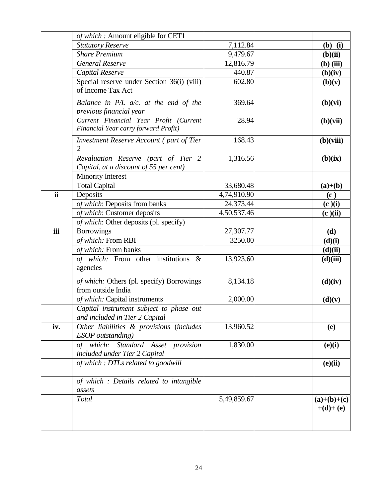|           | of which: Amount eligible for CET1                                                                        |                          |                             |
|-----------|-----------------------------------------------------------------------------------------------------------|--------------------------|-----------------------------|
|           | <b>Statutory Reserve</b>                                                                                  | 7,112.84                 | $(b)$ (i)                   |
|           | <b>Share Premium</b>                                                                                      | 9,479.67                 | (b)(ii)                     |
|           | <b>General Reserve</b>                                                                                    | 12,816.79                | $(b)$ (iii)                 |
|           | Capital Reserve                                                                                           | 440.87                   | (b)(iv)                     |
|           | Special reserve under Section 36(i) (viii)<br>of Income Tax Act                                           | 602.80                   | (b)(v)                      |
|           | Balance in $P/L$ a/c. at the end of the<br>previous financial year                                        | 369.64                   | (b)(vi)                     |
|           | Current Financial Year Profit (Current<br>Financial Year carry forward Profit)                            | 28.94                    | (b)(vii)                    |
|           | <b>Investment Reserve Account (part of Tier</b><br>2                                                      | 168.43                   | (b)(viii)                   |
|           | Revaluation Reserve (part of Tier 2<br>Capital, at a discount of 55 per cent)<br><b>Minority Interest</b> | 1,316.56                 | (b)(ix)                     |
|           |                                                                                                           |                          |                             |
| <b>ii</b> | <b>Total Capital</b>                                                                                      | 33,680.48                | $(a)+(b)$                   |
|           | Deposits                                                                                                  | 4,74,910.90<br>24,373.44 | (c)                         |
|           | of which: Deposits from banks                                                                             |                          | (c)(i)                      |
|           | of which: Customer deposits<br>of which: Other deposits (pl. specify)                                     | 4,50,537.46              | (c)(ii)                     |
| iii       |                                                                                                           | 27,307.77                |                             |
|           | <b>Borrowings</b><br>of which: From RBI                                                                   | 3250.00                  | (d)                         |
|           | of which: From banks                                                                                      |                          | (d)(i)                      |
|           | of which: From other institutions &                                                                       | 13,923.60                | (d)(ii)                     |
|           | agencies                                                                                                  |                          | (d)(iii)                    |
|           | of which: Others (pl. specify) Borrowings<br>from outside India                                           | 8,134.18                 | (d)(iv)                     |
|           | of which: Capital instruments                                                                             | 2,000.00                 | (d)(v)                      |
|           | Capital instrument subject to phase out<br>and included in Tier 2 Capital                                 |                          |                             |
| iv.       | Other liabilities & provisions (includes<br>ESOP outstanding)                                             | 13,960.52                | (e)                         |
|           | Standard Asset provision<br>of which:<br>included under Tier 2 Capital                                    | 1,830.00                 | (e)(i)                      |
|           | of which: DTLs related to goodwill                                                                        |                          | (e)(ii)                     |
|           | of which : Details related to intangible<br>assets                                                        |                          |                             |
|           | <b>Total</b>                                                                                              | 5,49,859.67              | $(a)+(b)+(c)$<br>$+(d)+(e)$ |
|           |                                                                                                           |                          |                             |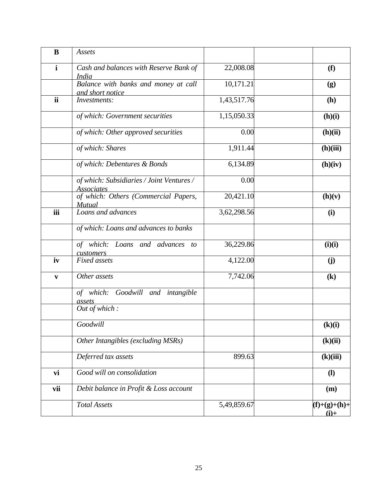| B            | Assets                                                         |             |                            |
|--------------|----------------------------------------------------------------|-------------|----------------------------|
| $\mathbf{i}$ | Cash and balances with Reserve Bank of<br>India                | 22,008.08   | (f)                        |
|              | Balance with banks and money at call<br>and short notice       | 10,171.21   | (g)                        |
| ii           | Investments:                                                   | 1,43,517.76 | (h)                        |
|              | of which: Government securities                                | 1,15,050.33 | (h)(i)                     |
|              | of which: Other approved securities                            | 0.00        | (h)(ii)                    |
|              | of which: Shares                                               | 1,911.44    | (h)(iii)                   |
|              | of which: Debentures & Bonds                                   | 6,134.89    | (h)(iv)                    |
|              | of which: Subsidiaries / Joint Ventures /<br><u>Associates</u> | 0.00        |                            |
|              | of which: Others (Commercial Papers,<br><b>Mutual</b>          | 20,421.10   | (h)(v)                     |
| iii          | Loans and advances                                             | 3,62,298.56 | (i)                        |
|              | of which: Loans and advances to banks                          |             |                            |
|              | of which: Loans and advances to<br>customers                   | 36,229.86   | (i)(i)                     |
| iv           | <b>Fixed</b> assets                                            | 4,122.00    | (j)                        |
| $\mathbf{v}$ | Other assets                                                   | 7,742.06    | $\left( \mathbf{k}\right)$ |
|              | of which: Goodwill and intangible<br>assets                    |             |                            |
|              | Out of which:                                                  |             |                            |
|              | Goodwill                                                       |             | (k)(i)                     |
|              | Other Intangibles (excluding MSRs)                             |             | (k)(ii)                    |
|              | Deferred tax assets                                            | 899.63      | (k)(iii)                   |
| vi           | Good will on consolidation                                     |             | $\mathbf{I}$               |
| vii          | Debit balance in Profit & Loss account                         |             | (m)                        |
|              | <b>Total Assets</b>                                            | 5,49,859.67 | $(f)+(g)+(h)+$<br>$(i)$ +  |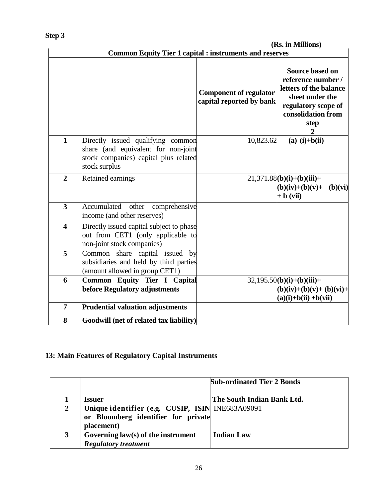|                         | <b>Common Equity Tier 1 capital : instruments and reserves</b>                                                                     |                                                           | (KS. In MILLIONS)                                                                                                                            |
|-------------------------|------------------------------------------------------------------------------------------------------------------------------------|-----------------------------------------------------------|----------------------------------------------------------------------------------------------------------------------------------------------|
|                         |                                                                                                                                    | <b>Component of regulator</b><br>capital reported by bank | Source based on<br>reference number /<br>letters of the balance<br>sheet under the<br>regulatory scope of<br>consolidation from<br>step<br>2 |
| $\mathbf{1}$            | Directly issued qualifying common<br>share (and equivalent for non-joint<br>stock companies) capital plus related<br>stock surplus | 10,823.62                                                 | $(a)$ (i)+b(ii)                                                                                                                              |
| $\overline{2}$          | Retained earnings                                                                                                                  |                                                           | $21,371.88(b)(i)+(b)(iii)+$<br>$(b)(iv)+(b)(v)+$<br>(b)(vi)<br>$+ b (vii)$                                                                   |
| $\overline{\mathbf{3}}$ | Accumulated other<br>comprehensive<br>income (and other reserves)                                                                  |                                                           |                                                                                                                                              |
| $\overline{\mathbf{4}}$ | Directly issued capital subject to phase<br>out from CET1 (only applicable to<br>non-joint stock companies)                        |                                                           |                                                                                                                                              |
| 5                       | Common share capital issued by<br>subsidiaries and held by third parties<br>(amount allowed in group CET1)                         |                                                           |                                                                                                                                              |
| 6                       | Common Equity Tier I Capital<br>before Regulatory adjustments                                                                      |                                                           | $32,195.50(b)(i)+(b)(iii)+$<br>$(b)(iv)+(b)(v)+(b)(vi)+$<br>$(a)(i)+b(ii)+b(vii)$                                                            |
| 7                       | <b>Prudential valuation adjustments</b>                                                                                            |                                                           |                                                                                                                                              |
| 8                       | Goodwill (net of related tax liability)                                                                                            |                                                           |                                                                                                                                              |

## **13: Main Features of Regulatory Capital Instruments**

|   |                                                                                                       | <b>Sub-ordinated Tier 2 Bonds</b> |
|---|-------------------------------------------------------------------------------------------------------|-----------------------------------|
|   | <b>Issuer</b>                                                                                         | The South Indian Bank Ltd.        |
| 2 | Unique identifier (e.g. CUSIP, ISIN INE683A09091<br>or Bloomberg identifier for private<br>placement) |                                   |
| 3 | Governing $law(s)$ of the instrument                                                                  | <b>Indian Law</b>                 |
|   | <b>Regulatory treatment</b>                                                                           |                                   |

 **(Rs. in Millions)**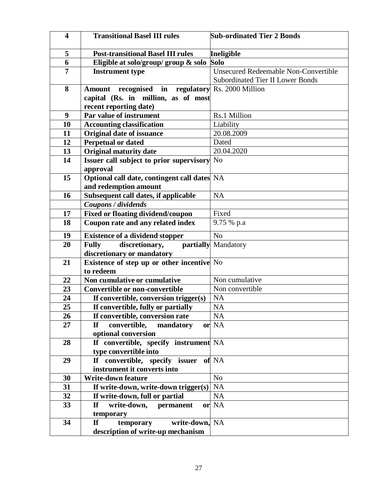| $\overline{\mathbf{4}}$ | <b>Transitional Basel III rules</b>                | <b>Sub-ordinated Tier 2 Bonds</b>           |
|-------------------------|----------------------------------------------------|---------------------------------------------|
| 5                       | <b>Post-transitional Basel III rules</b>           | Ineligible                                  |
| 6                       | Eligible at solo/group/ group $\&$ solo            | <b>Solo</b>                                 |
| $\overline{7}$          | <b>Instrument type</b>                             | <b>Unsecured Redeemable Non-Convertible</b> |
|                         |                                                    | <b>Subordinated Tier II Lower Bonds</b>     |
| 8                       | recognised<br>Amount<br>in                         | regulatory Rs. 2000 Million                 |
|                         | capital (Rs. in million, as of most                |                                             |
|                         | recent reporting date)                             |                                             |
| 9                       | Par value of instrument                            | Rs.1 Million                                |
| 10                      | <b>Accounting classification</b>                   | Liability                                   |
| 11                      | <b>Original date of issuance</b>                   | 20.08.2009                                  |
| 12                      | <b>Perpetual or dated</b>                          | Dated                                       |
| 13                      | <b>Original maturity date</b>                      | 20.04.2020                                  |
| 14                      | <b>Issuer call subject to prior supervisory</b> No |                                             |
|                         | approval                                           |                                             |
| 15                      | Optional call date, contingent call dates NA       |                                             |
|                         | and redemption amount                              |                                             |
| 16                      | Subsequent call dates, if applicable               | <b>NA</b>                                   |
|                         | Coupons / dividends                                |                                             |
| 17                      | <b>Fixed or floating dividend/coupon</b>           | Fixed                                       |
| 18                      | Coupon rate and any related index                  | 9.75 % p.a                                  |
| 19                      | <b>Existence of a dividend stopper</b>             | N <sub>o</sub>                              |
| 20                      | discretionary,<br><b>Fully</b><br>partially        | Mandatory                                   |
|                         | discretionary or mandatory                         |                                             |
| 21                      | <b>Existence of step up or other incentive</b> No  |                                             |
|                         | to redeem                                          |                                             |
| 22                      | Non cumulative or cumulative                       | Non cumulative                              |
| 23                      | <b>Convertible or non-convertible</b>              | Non convertible                             |
| 24                      | If convertible, conversion trigger(s)              | <b>NA</b>                                   |
| 25                      | If convertible, fully or partially                 | <b>NA</b>                                   |
| 26                      | If convertible, conversion rate                    | <b>NA</b>                                   |
| 27                      | If<br>convertible,<br>mandatory                    | or NA                                       |
|                         | optional conversion                                |                                             |
| 28                      | If convertible, specify instrument NA              |                                             |
|                         | type convertible into                              |                                             |
| 29                      | If convertible, specify issuer                     | of NA                                       |
|                         | instrument it converts into                        |                                             |
| 30                      | <b>Write-down feature</b>                          | N <sub>o</sub>                              |
| 31                      | If write-down, write-down trigger(s)               | <b>NA</b>                                   |
| 32                      | If write-down, full or partial                     | NA                                          |
| 33                      | <b>If</b><br>write-down,<br>permanent              | or NA                                       |
|                         | temporary                                          |                                             |
| 34                      | $\mathbf{H}$<br>write-down, NA<br>temporary        |                                             |
|                         | description of write-up mechanism                  |                                             |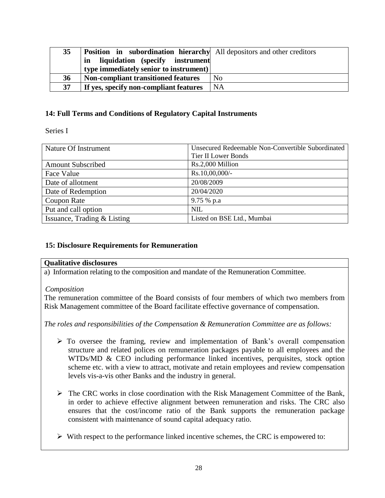| 35 | <b>Position</b> in subordination hierarchy All depositors and other creditors |                |
|----|-------------------------------------------------------------------------------|----------------|
|    | liquidation (specify instrument<br>in                                         |                |
|    | type immediately senior to instrument)                                        |                |
| 36 | <b>Non-compliant transitioned features</b>                                    | N <sub>0</sub> |
| 37 | If yes, specify non-compliant features                                        | <b>NA</b>      |

### **14: Full Terms and Conditions of Regulatory Capital Instruments**

Series I

| Nature Of Instrument        | Unsecured Redeemable Non-Convertible Subordinated |
|-----------------------------|---------------------------------------------------|
|                             | <b>Tier II Lower Bonds</b>                        |
| <b>Amount Subscribed</b>    | Rs.2,000 Million                                  |
| Face Value                  | Rs.10,00,000/-                                    |
| Date of allotment           | 20/08/2009                                        |
| Date of Redemption          | 20/04/2020                                        |
| Coupon Rate                 | 9.75 % p.a                                        |
| Put and call option         | <b>NIL</b>                                        |
| Issuance, Trading & Listing | Listed on BSE Ltd., Mumbai                        |

#### **15: Disclosure Requirements for Remuneration**

#### **Qualitative disclosures**

a) Information relating to the composition and mandate of the Remuneration Committee.

#### *Composition*

The remuneration committee of the Board consists of four members of which two members from Risk Management committee of the Board facilitate effective governance of compensation.

*The roles and responsibilities of the Compensation & Remuneration Committee are as follows:*

- $\triangleright$  To oversee the framing, review and implementation of Bank's overall compensation structure and related polices on remuneration packages payable to all employees and the WTDs/MD & CEO including performance linked incentives, perquisites, stock option scheme etc. with a view to attract, motivate and retain employees and review compensation levels vis-a-vis other Banks and the industry in general.
- The CRC works in close coordination with the Risk Management Committee of the Bank, in order to achieve effective alignment between remuneration and risks. The CRC also ensures that the cost/income ratio of the Bank supports the remuneration package consistent with maintenance of sound capital adequacy ratio.
- $\triangleright$  With respect to the performance linked incentive schemes, the CRC is empowered to: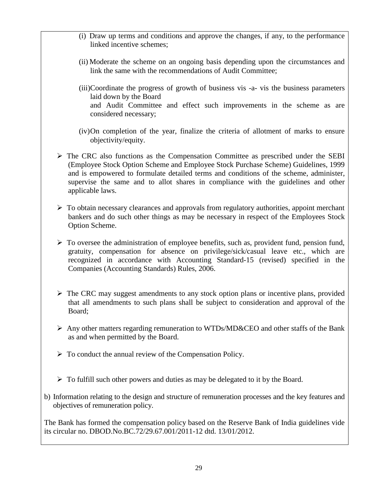- (i) Draw up terms and conditions and approve the changes, if any, to the performance linked incentive schemes;
- (ii) Moderate the scheme on an ongoing basis depending upon the circumstances and link the same with the recommendations of Audit Committee;
- (iii)Coordinate the progress of growth of business vis -a- vis the business parameters laid down by the Board and Audit Committee and effect such improvements in the scheme as are considered necessary;
- (iv)On completion of the year, finalize the criteria of allotment of marks to ensure objectivity/equity.
- $\triangleright$  The CRC also functions as the Compensation Committee as prescribed under the SEBI (Employee Stock Option Scheme and Employee Stock Purchase Scheme) Guidelines, 1999 and is empowered to formulate detailed terms and conditions of the scheme, administer, supervise the same and to allot shares in compliance with the guidelines and other applicable laws.
- $\triangleright$  To obtain necessary clearances and approvals from regulatory authorities, appoint merchant bankers and do such other things as may be necessary in respect of the Employees Stock Option Scheme.
- $\triangleright$  To oversee the administration of employee benefits, such as, provident fund, pension fund, gratuity, compensation for absence on privilege/sick/casual leave etc., which are recognized in accordance with Accounting Standard-15 (revised) specified in the Companies (Accounting Standards) Rules, 2006.
- $\triangleright$  The CRC may suggest amendments to any stock option plans or incentive plans, provided that all amendments to such plans shall be subject to consideration and approval of the Board;
- $\triangleright$  Any other matters regarding remuneration to WTDs/MD&CEO and other staffs of the Bank as and when permitted by the Board.
- $\triangleright$  To conduct the annual review of the Compensation Policy.
- $\triangleright$  To fulfill such other powers and duties as may be delegated to it by the Board.
- b) Information relating to the design and structure of remuneration processes and the key features and objectives of remuneration policy.

The Bank has formed the compensation policy based on the Reserve Bank of India guidelines vide its circular no. DBOD.No.BC.72/29.67.001/2011-12 dtd. 13/01/2012.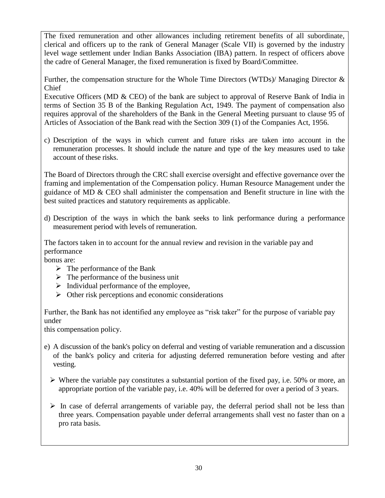The fixed remuneration and other allowances including retirement benefits of all subordinate, clerical and officers up to the rank of General Manager (Scale VII) is governed by the industry level wage settlement under Indian Banks Association (IBA) pattern. In respect of officers above the cadre of General Manager, the fixed remuneration is fixed by Board/Committee.

Further, the compensation structure for the Whole Time Directors (WTDs)/ Managing Director & Chief

Executive Officers (MD & CEO) of the bank are subject to approval of Reserve Bank of India in terms of Section 35 B of the Banking Regulation Act, 1949. The payment of compensation also requires approval of the shareholders of the Bank in the General Meeting pursuant to clause 95 of Articles of Association of the Bank read with the Section 309 (1) of the Companies Act, 1956.

c) Description of the ways in which current and future risks are taken into account in the remuneration processes. It should include the nature and type of the key measures used to take account of these risks.

The Board of Directors through the CRC shall exercise oversight and effective governance over the framing and implementation of the Compensation policy. Human Resource Management under the guidance of MD & CEO shall administer the compensation and Benefit structure in line with the best suited practices and statutory requirements as applicable.

d) Description of the ways in which the bank seeks to link performance during a performance measurement period with levels of remuneration.

The factors taken in to account for the annual review and revision in the variable pay and performance

bonus are:

- $\triangleright$  The performance of the Bank
- $\triangleright$  The performance of the business unit
- $\triangleright$  Individual performance of the employee,
- $\triangleright$  Other risk perceptions and economic considerations

Further, the Bank has not identified any employee as "risk taker" for the purpose of variable pay under

this compensation policy.

- e) A discussion of the bank's policy on deferral and vesting of variable remuneration and a discussion of the bank's policy and criteria for adjusting deferred remuneration before vesting and after vesting.
	- $\triangleright$  Where the variable pay constitutes a substantial portion of the fixed pay, i.e. 50% or more, an appropriate portion of the variable pay, i.e. 40% will be deferred for over a period of 3 years.
	- $\triangleright$  In case of deferral arrangements of variable pay, the deferral period shall not be less than three years. Compensation payable under deferral arrangements shall vest no faster than on a pro rata basis.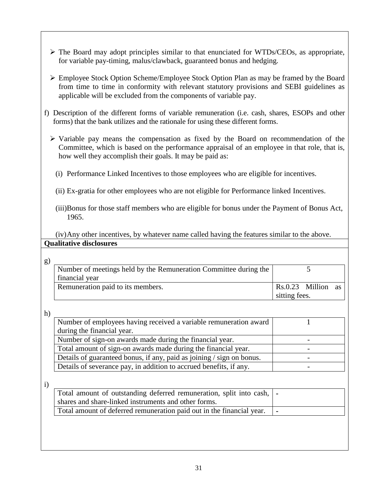- $\triangleright$  The Board may adopt principles similar to that enunciated for WTDs/CEOs, as appropriate, for variable pay-timing, malus/clawback, guaranteed bonus and hedging.
- Employee Stock Option Scheme/Employee Stock Option Plan as may be framed by the Board from time to time in conformity with relevant statutory provisions and SEBI guidelines as applicable will be excluded from the components of variable pay.
- f) Description of the different forms of variable remuneration (i.e. cash, shares, ESOPs and other forms) that the bank utilizes and the rationale for using these different forms.
	- $\triangleright$  Variable pay means the compensation as fixed by the Board on recommendation of the Committee, which is based on the performance appraisal of an employee in that role, that is, how well they accomplish their goals. It may be paid as:
		- (i) Performance Linked Incentives to those employees who are eligible for incentives.
		- (ii) Ex-gratia for other employees who are not eligible for Performance linked Incentives.
		- (iii)Bonus for those staff members who are eligible for bonus under the Payment of Bonus Act, 1965.

(iv)Any other incentives, by whatever name called having the features similar to the above. **Qualitative disclosures**

| Number of meetings held by the Remuneration Committee during the   |                                                                       |  |
|--------------------------------------------------------------------|-----------------------------------------------------------------------|--|
| financial year                                                     |                                                                       |  |
| Remuneration paid to its members.                                  | Rs.0.23 Million<br>as                                                 |  |
|                                                                    | sitting fees.                                                         |  |
|                                                                    |                                                                       |  |
| Number of employees having received a variable remuneration award  |                                                                       |  |
| during the financial year.                                         |                                                                       |  |
| Number of sign-on awards made during the financial year.           |                                                                       |  |
| Total amount of sign-on awards made during the financial year.     |                                                                       |  |
|                                                                    |                                                                       |  |
| Details of severance pay, in addition to accrued benefits, if any. |                                                                       |  |
|                                                                    | Details of guaranteed bonus, if any, paid as joining / sign on bonus. |  |

i)

| Total amount of outstanding deferred remuneration, split into cash,   - |              |
|-------------------------------------------------------------------------|--------------|
| shares and share-linked instruments and other forms.                    |              |
| Total amount of deferred remuneration paid out in the financial year.   | $\mathbf{I}$ |